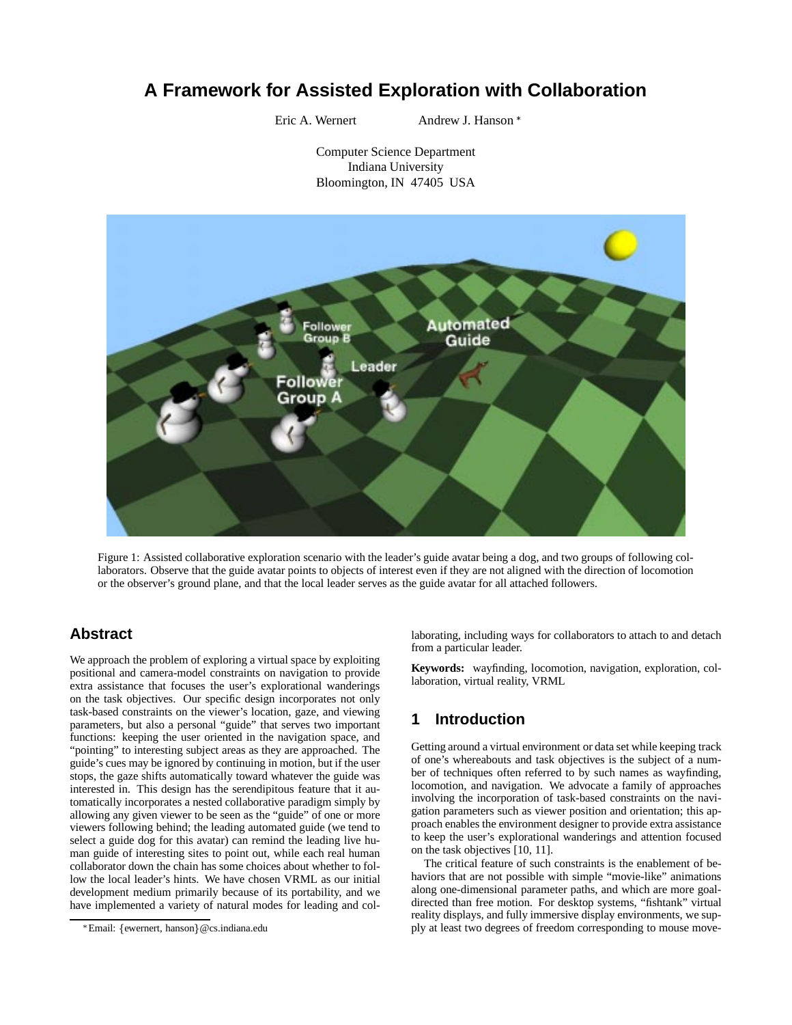# **A Framework for Assisted Exploration with Collaboration**

Eric A. Wernert Andrew J. Hanson \*

Computer Science Department Indiana University Bloomington, IN 47405 USA



Figure 1: Assisted collaborative exploration scenario with the leader's guide avatar being a dog, and two groups of following collaborators. Observe that the guide avatar points to objects of interest even if they are not aligned with the direction of locomotion or the observer's ground plane, and that the local leader serves as the guide avatar for all attached followers.

## **Abstract**

We approach the problem of exploring a virtual space by exploiting positional and camera-model constraints on navigation to provide extra assistance that focuses the user's explorational wanderings on the task objectives. Our specific design incorporates not only task-based constraints on the viewer's location, gaze, and viewing parameters, but also a personal "guide" that serves two important functions: keeping the user oriented in the navigation space, and "pointing" to interesting subject areas as they are approached. The guide's cues may be ignored by continuing in motion, but if the user stops, the gaze shifts automatically toward whatever the guide was interested in. This design has the serendipitous feature that it automatically incorporates a nested collaborative paradigm simply by allowing any given viewer to be seen as the "guide" of one or more viewers following behind; the leading automated guide (we tend to select a guide dog for this avatar) can remind the leading live human guide of interesting sites to point out, while each real human collaborator down the chain has some choices about whether to follow the local leader's hints. We have chosen VRML as our initial development medium primarily because of its portability, and we have implemented a variety of natural modes for leading and collaborating, including ways for collaborators to attach to and detach from a particular leader.

**Keywords:** wayfinding, locomotion, navigation, exploration, collaboration, virtual reality, VRML

### **1 Introduction**

Getting around a virtual environment or data set while keeping track of one's whereabouts and task objectives is the subject of a number of techniques often referred to by such names as wayfinding, locomotion, and navigation. We advocate a family of approaches involving the incorporation of task-based constraints on the navigation parameters such as viewer position and orientation; this approach enables the environment designer to provide extra assistance to keep the user's explorational wanderings and attention focused on the task objectives [10, 11].

The critical feature of such constraints is the enablement of behaviors that are not possible with simple "movie-like" animations along one-dimensional parameter paths, and which are more goaldirected than free motion. For desktop systems, "fishtank" virtual reality displays, and fully immersive display environments, we supply at least two degrees of freedom corresponding to mouse move-

<sup>\*</sup>Email: {ewernert, hanson}@cs.indiana.edu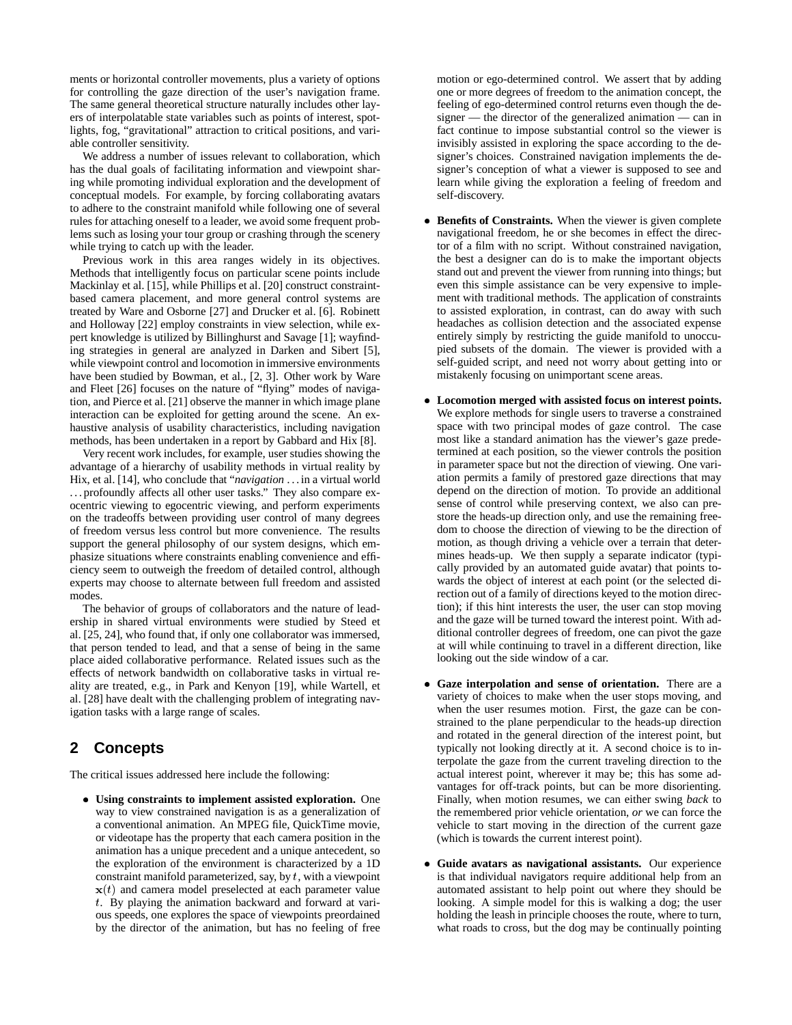ments or horizontal controller movements, plus a variety of options for controlling the gaze direction of the user's navigation frame. The same general theoretical structure naturally includes other layers of interpolatable state variables such as points of interest, spotlights, fog, "gravitational" attraction to critical positions, and variable controller sensitivity.

We address a number of issues relevant to collaboration, which has the dual goals of facilitating information and viewpoint sharing while promoting individual exploration and the development of conceptual models. For example, by forcing collaborating avatars to adhere to the constraint manifold while following one of several rules for attaching oneself to a leader, we avoid some frequent problems such as losing your tour group or crashing through the scenery while trying to catch up with the leader.

Previous work in this area ranges widely in its objectives. Methods that intelligently focus on particular scene points include Mackinlay et al. [15], while Phillips et al. [20] construct constraintbased camera placement, and more general control systems are treated by Ware and Osborne [27] and Drucker et al. [6]. Robinett and Holloway [22] employ constraints in view selection, while expert knowledge is utilized by Billinghurst and Savage [1]; wayfinding strategies in general are analyzed in Darken and Sibert [5], while viewpoint control and locomotion in immersive environments have been studied by Bowman, et al., [2, 3]. Other work by Ware and Fleet [26] focuses on the nature of "flying" modes of navigation, and Pierce et al. [21] observe the manner in which image plane interaction can be exploited for getting around the scene. An exhaustive analysis of usability characteristics, including navigation methods, has been undertaken in a report by Gabbard and Hix [8].

Very recent work includes, for example, user studies showing the advantage of a hierarchy of usability methods in virtual reality by Hix, et al. [14], who conclude that "*navigation* . . . in a virtual world . . . profoundly affects all other user tasks." They also compare exocentric viewing to egocentric viewing, and perform experiments on the tradeoffs between providing user control of many degrees of freedom versus less control but more convenience. The results support the general philosophy of our system designs, which emphasize situations where constraints enabling convenience and efficiency seem to outweigh the freedom of detailed control, although experts may choose to alternate between full freedom and assisted modes.

The behavior of groups of collaborators and the nature of leadership in shared virtual environments were studied by Steed et al. [25, 24], who found that, if only one collaborator was immersed, that person tended to lead, and that a sense of being in the same place aided collaborative performance. Related issues such as the effects of network bandwidth on collaborative tasks in virtual reality are treated, e.g., in Park and Kenyon [19], while Wartell, et al. [28] have dealt with the challenging problem of integrating navigation tasks with a large range of scales.

## **2 Concepts**

The critical issues addressed here include the following:

 **Using constraints to implement assisted exploration.** One way to view constrained navigation is as a generalization of a conventional animation. An MPEG file, QuickTime movie, or videotape has the property that each camera position in the animation has a unique precedent and a unique antecedent, so the exploration of the environment is characterized by a 1D constraint manifold parameterized, say, by  $t$ , with a viewpoint  $x(t)$  and camera model preselected at each parameter value t. By playing the animation backward and forward at various speeds, one explores the space of viewpoints preordained by the director of the animation, but has no feeling of free

motion or ego-determined control. We assert that by adding one or more degrees of freedom to the animation concept, the feeling of ego-determined control returns even though the designer — the director of the generalized animation — can in fact continue to impose substantial control so the viewer is invisibly assisted in exploring the space according to the designer's choices. Constrained navigation implements the designer's conception of what a viewer is supposed to see and learn while giving the exploration a feeling of freedom and self-discovery.

- **Benefits of Constraints.** When the viewer is given complete navigational freedom, he or she becomes in effect the director of a film with no script. Without constrained navigation, the best a designer can do is to make the important objects stand out and prevent the viewer from running into things; but even this simple assistance can be very expensive to implement with traditional methods. The application of constraints to assisted exploration, in contrast, can do away with such headaches as collision detection and the associated expense entirely simply by restricting the guide manifold to unoccupied subsets of the domain. The viewer is provided with a self-guided script, and need not worry about getting into or mistakenly focusing on unimportant scene areas.
- **Locomotion merged with assisted focus on interest points.** We explore methods for single users to traverse a constrained space with two principal modes of gaze control. The case most like a standard animation has the viewer's gaze predetermined at each position, so the viewer controls the position in parameter space but not the direction of viewing. One variation permits a family of prestored gaze directions that may depend on the direction of motion. To provide an additional sense of control while preserving context, we also can prestore the heads-up direction only, and use the remaining freedom to choose the direction of viewing to be the direction of motion, as though driving a vehicle over a terrain that determines heads-up. We then supply a separate indicator (typically provided by an automated guide avatar) that points towards the object of interest at each point (or the selected direction out of a family of directions keyed to the motion direction); if this hint interests the user, the user can stop moving and the gaze will be turned toward the interest point. With additional controller degrees of freedom, one can pivot the gaze at will while continuing to travel in a different direction, like looking out the side window of a car.
- **Gaze interpolation and sense of orientation.** There are a variety of choices to make when the user stops moving, and when the user resumes motion. First, the gaze can be constrained to the plane perpendicular to the heads-up direction and rotated in the general direction of the interest point, but typically not looking directly at it. A second choice is to interpolate the gaze from the current traveling direction to the actual interest point, wherever it may be; this has some advantages for off-track points, but can be more disorienting. Finally, when motion resumes, we can either swing *back* to the remembered prior vehicle orientation, *or* we can force the vehicle to start moving in the direction of the current gaze (which is towards the current interest point).
- **Guide avatars as navigational assistants.** Our experience is that individual navigators require additional help from an automated assistant to help point out where they should be looking. A simple model for this is walking a dog; the user holding the leash in principle chooses the route, where to turn, what roads to cross, but the dog may be continually pointing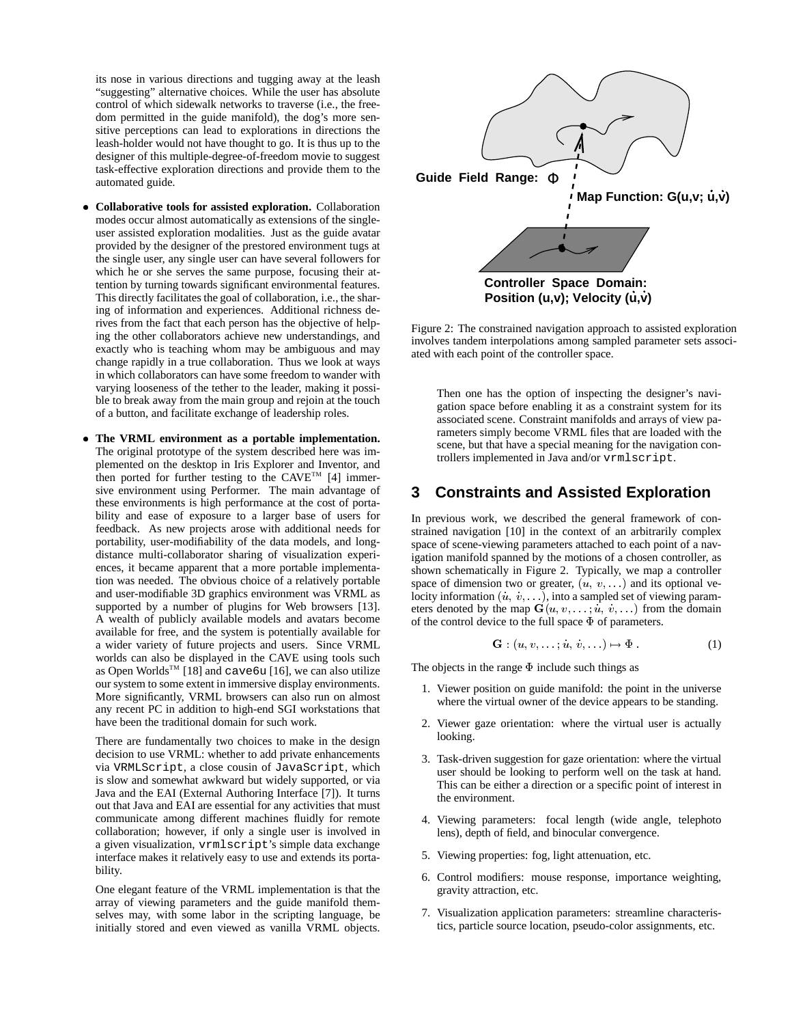its nose in various directions and tugging away at the leash "suggesting" alternative choices. While the user has absolute control of which sidewalk networks to traverse (i.e., the freedom permitted in the guide manifold), the dog's more sensitive perceptions can lead to explorations in directions the leash-holder would not have thought to go. It is thus up to the designer of this multiple-degree-of-freedom movie to suggest task-effective exploration directions and provide them to the automated guide.

- **Collaborative tools for assisted exploration.** Collaboration modes occur almost automatically as extensions of the singleuser assisted exploration modalities. Just as the guide avatar provided by the designer of the prestored environment tugs at the single user, any single user can have several followers for which he or she serves the same purpose, focusing their attention by turning towards significant environmental features. This directly facilitates the goal of collaboration, i.e., the sharing of information and experiences. Additional richness derives from the fact that each person has the objective of helping the other collaborators achieve new understandings, and exactly who is teaching whom may be ambiguous and may change rapidly in a true collaboration. Thus we look at ways in which collaborators can have some freedom to wander with varying looseness of the tether to the leader, making it possible to break away from the main group and rejoin at the touch of a button, and facilitate exchange of leadership roles.
- **The VRML environment as a portable implementation.** The original prototype of the system described here was implemented on the desktop in Iris Explorer and Inventor, and then ported for further testing to the  $CAVE^{TM}$  [4] immersive environment using Performer. The main advantage of these environments is high performance at the cost of portability and ease of exposure to a larger base of users for feedback. As new projects arose with additional needs for portability, user-modifiability of the data models, and longdistance multi-collaborator sharing of visualization experiences, it became apparent that a more portable implementation was needed. The obvious choice of a relatively portable and user-modifiable 3D graphics environment was VRML as supported by a number of plugins for Web browsers [13]. A wealth of publicly available models and avatars become available for free, and the system is potentially available for a wider variety of future projects and users. Since VRML worlds can also be displayed in the CAVE using tools such as Open Worlds<sup>TM</sup> [18] and cave6u [16], we can also utilize our system to some extent in immersive display environments. More significantly, VRML browsers can also run on almost any recent PC in addition to high-end SGI workstations that have been the traditional domain for such work.

There are fundamentally two choices to make in the design decision to use VRML: whether to add private enhancements via VRMLScript, a close cousin of JavaScript, which is slow and somewhat awkward but widely supported, or via Java and the EAI (External Authoring Interface [7]). It turns out that Java and EAI are essential for any activities that must communicate among different machines fluidly for remote collaboration; however, if only a single user is involved in a given visualization, vrmlscript's simple data exchange interface makes it relatively easy to use and extends its portability.

One elegant feature of the VRML implementation is that the array of viewing parameters and the guide manifold themselves may, with some labor in the scripting language, be initially stored and even viewed as vanilla VRML objects.



Figure 2: The constrained navigation approach to assisted exploration involves tandem interpolations among sampled parameter sets associated with each point of the controller space.

Then one has the option of inspecting the designer's navigation space before enabling it as a constraint system for its associated scene. Constraint manifolds and arrays of view parameters simply become VRML files that are loaded with the scene, but that have a special meaning for the navigation controllers implemented in Java and/or vrmlscript.

### **3 Constraints and Assisted Exploration**

In previous work, we described the general framework of constrained navigation [10] in the context of an arbitrarily complex space of scene-viewing parameters attached to each point of a navigation manifold spanned by the motions of a chosen controller, as shown schematically in Figure 2. Typically, we map a controller space of dimension two or greater,  $(u, v, \ldots)$  and its optional velocity information  $(u, v, \ldots)$ , into a sampled set of viewing parameters denoted by the map  $\mathbf{G}(u, v, \dots; \dot{u}, v, \dots)$  from the domain of the control device to the full space  $\Phi$  of parameters.

$$
\mathbf{G} : (u, v, \dots; \dot{u}, \dot{v}, \dots) \mapsto \Phi. \tag{1}
$$

The objects in the range  $\Phi$  include such things as

- 1. Viewer position on guide manifold: the point in the universe where the virtual owner of the device appears to be standing.
- 2. Viewer gaze orientation: where the virtual user is actually looking.
- 3. Task-driven suggestion for gaze orientation: where the virtual user should be looking to perform well on the task at hand. This can be either a direction or a specific point of interest in the environment.
- 4. Viewing parameters: focal length (wide angle, telephoto lens), depth of field, and binocular convergence.
- 5. Viewing properties: fog, light attenuation, etc.
- 6. Control modifiers: mouse response, importance weighting, gravity attraction, etc.
- 7. Visualization application parameters: streamline characteristics, particle source location, pseudo-color assignments, etc.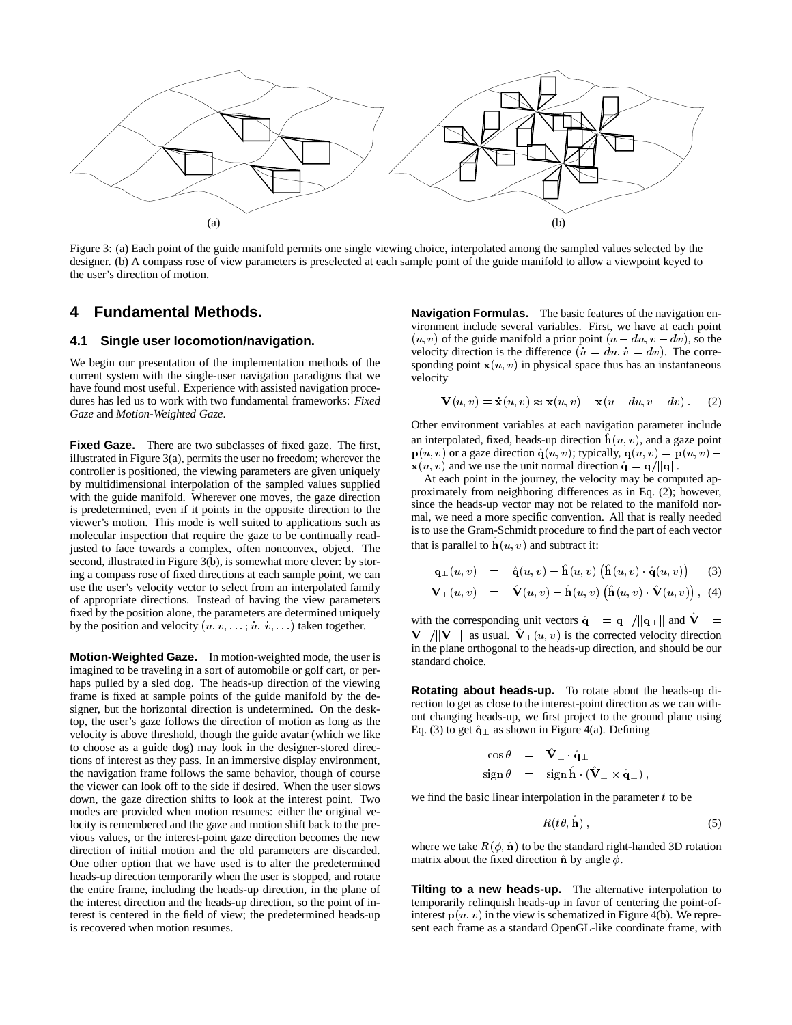

Figure 3: (a) Each point of the guide manifold permits one single viewing choice, interpolated among the sampled values selected by the designer. (b) A compass rose of view parameters is preselected at each sample point of the guide manifold to allow a viewpoint keyed to the user's direction of motion.

### **4 Fundamental Methods.**

#### **4.1 Single user locomotion/navigation.**

We begin our presentation of the implementation methods of the current system with the single-user navigation paradigms that we have found most useful. Experience with assisted navigation procedures has led us to work with two fundamental frameworks: *Fixed Gaze* and *Motion-Weighted Gaze*.

**Fixed Gaze.** There are two subclasses of fixed gaze. The first, illustrated in Figure 3(a), permits the user no freedom; wherever the controller is positioned, the viewing parameters are given uniquely by multidimensional interpolation of the sampled values supplied with the guide manifold. Wherever one moves, the gaze direction is predetermined, even if it points in the opposite direction to the viewer's motion. This mode is well suited to applications such as molecular inspection that require the gaze to be continually readjusted to face towards a complex, often nonconvex, object. The second, illustrated in Figure 3(b), is somewhat more clever: by storing a compass rose of fixed directions at each sample point, we can use the user's velocity vector to select from an interpolated family of appropriate directions. Instead of having the view parameters fixed by the position alone, the parameters are determined uniquely by the position and velocity  $(u, v, \dots; u, v, \dots)$  taken together.

**Motion-Weighted Gaze.** In motion-weighted mode, the user is imagined to be traveling in a sort of automobile or golf cart, or perhaps pulled by a sled dog. The heads-up direction of the viewing frame is fixed at sample points of the guide manifold by the designer, but the horizontal direction is undetermined. On the desktop, the user's gaze follows the direction of motion as long as the velocity is above threshold, though the guide avatar (which we like to choose as a guide dog) may look in the designer-stored directions of interest as they pass. In an immersive display environment, the navigation frame follows the same behavior, though of course the viewer can look off to the side if desired. When the user slows down, the gaze direction shifts to look at the interest point. Two modes are provided when motion resumes: either the original velocity is remembered and the gaze and motion shift back to the previous values, or the interest-point gaze direction becomes the new direction of initial motion and the old parameters are discarded. One other option that we have used is to alter the predetermined heads-up direction temporarily when the user is stopped, and rotate the entire frame, including the heads-up direction, in the plane of the interest direction and the heads-up direction, so the point of interest is centered in the field of view; the predetermined heads-up is recovered when motion resumes.

**Navigation Formulas.** The basic features of the navigation environment include several variables. First, we have at each point  $(u, v)$  of the guide manifold a prior point  $(u - du, v - dv)$ , so the velocity direction is the difference  $(u = du, v = dv)$ . The corresponding point  $x(u, v)$  in physical space thus has an instantaneous velocity

$$
\mathbf{V}(u, v) = \dot{\mathbf{x}}(u, v) \approx \mathbf{x}(u, v) - \mathbf{x}(u - du, v - dv) \tag{2}
$$

Other environment variables at each navigation parameter include an interpolated, fixed, heads-up direction  $h(u, v)$ , and a gaze point  $\mathbf{p}(u, v)$  or a gaze direction  $\hat{\mathbf{q}}(u, v)$ ; typically,  $\mathbf{q}(u, v)= \mathbf{p}(u, v)$  –  $\mathbf{x}(u, v)$  and we use the unit normal direction  $\hat{\mathbf{q}} = \mathbf{q}/\|\mathbf{q}\|$ .

At each point in the journey, the velocity may be computed approximately from neighboring differences as in Eq. (2); however, since the heads-up vector may not be related to the manifold normal, we need a more specific convention. All that is really needed is to use the Gram-Schmidt procedure to find the part of each vector that is parallel to  $h(u, v)$  and subtract it:

$$
\mathbf{q}_{\perp}(u,v) = \hat{\mathbf{q}}(u,v) - \hat{\mathbf{h}}(u,v) \left( \hat{\mathbf{h}}(u,v) \cdot \hat{\mathbf{q}}(u,v) \right)
$$
(3)

$$
\mathbf{V}_{\perp}(u,v) = \hat{\mathbf{V}}(u,v) - \hat{\mathbf{h}}(u,v) \left( \hat{\mathbf{h}}(u,v) \cdot \hat{\mathbf{V}}(u,v) \right), (4)
$$

with the corresponding unit vectors  $\hat{\mathbf{q}}_{\perp} = \mathbf{q}_{\perp}/\|\mathbf{q}_{\perp}\|$  and  $\hat{\mathbf{V}}_{\perp} =$  $\mathbf{V}_{\perp}/\|\mathbf{V}_{\perp}\|$  as usual.  $\hat{\mathbf{V}}_{\perp}(u, v)$  is the corrected velocity direction in the plane orthogonal to the heads-up direction, and should be our standard choice.

**Rotating about heads-up.** To rotate about the heads-up direction to get as close to the interest-point direction as we can without changing heads-up, we first project to the ground plane using Eq. (3) to get  $\hat{q}_\perp$  as shown in Figure 4(a). Defining

$$
\begin{array}{rcl}\n\cos \theta & = & \mathbf{V}_{\perp} \cdot \hat{\mathbf{q}}_{\perp} \\
\text{sign} \theta & = & \text{sign} \, \hat{\mathbf{h}} \cdot (\hat{\mathbf{V}}_{\perp} \times \hat{\mathbf{q}}_{\perp}),\n\end{array}
$$

we find the basic linear interpolation in the parameter  $t$  to be

$$
R(t\theta, \hat{\mathbf{h}})\,,\tag{5}
$$

where we take  $R(\phi, \hat{\mathbf{n}})$  to be the standard right-handed 3D rotation matrix about the fixed direction  $\hat{\mathbf{n}}$  by angle  $\phi$ .

**Tilting to a new heads-up.** The alternative interpolation to temporarily relinquish heads-up in favor of centering the point-ofinterest  $p(u, v)$  in the view is schematized in Figure 4(b). We represent each frame as a standard OpenGL-like coordinate frame, with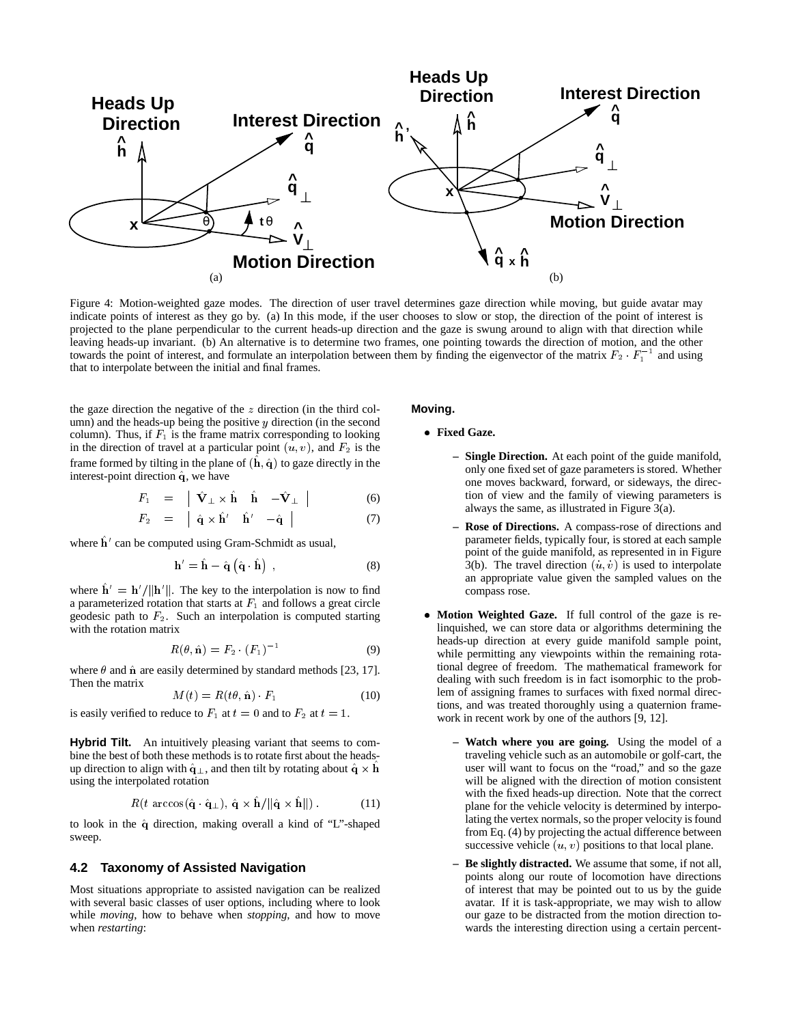

Figure 4: Motion-weighted gaze modes. The direction of user travel determines gaze direction while moving, but guide avatar may indicate points of interest as they go by. (a) In this mode, if the user chooses to slow or stop, the direction of the point of interest is projected to the plane perpendicular to the current heads-up direction and the gaze is swung around to align with that direction while leaving heads-up invariant. (b) An alternative is to determine two frames, one pointing towards the direction of motion, and the other towards the point of interest, and formulate an interpolation between them by finding the eigenvector of the matrix  $F_2 \cdot F_1^{-1}$  and using that to interpolate between the initial and final frames.

the gaze direction the negative of the  $z$  direction (in the third column) and the heads-up being the positive  $y$  direction (in the second column). Thus, if  $F_1$  is the frame matrix corresponding to looking in the direction of travel at a particular point  $(u, v)$ , and  $F_2$  is the frame formed by tilting in the plane of  $(h, \hat{q})$  to gaze directly in the interest-point direction  $\hat{q}$ , we have

$$
F_1 = |\hat{\mathbf{V}}_{\perp} \times \hat{\mathbf{h}} \hat{\mathbf{h}} - \hat{\mathbf{V}}_{\perp}| \qquad (6)
$$

$$
F_2 = |\hat{\mathbf{q}} \times \hat{\mathbf{h}}' \quad \hat{\mathbf{h}}' - \hat{\mathbf{q}} | \qquad (7)
$$

where  $h^{\prime}$  can be computed using Gram-Schmidt as usual,

$$
\mathbf{h}' = \hat{\mathbf{h}} - \hat{\mathbf{q}} \left( \hat{\mathbf{q}} \cdot \hat{\mathbf{h}} \right) , \qquad (8)
$$

where  $\hat{\mathbf{h}}' = \mathbf{h}'/\|\mathbf{h}'\|$ . The key to the interpolation is now to find a parameterized rotation that starts at  $F_1$  and follows a great circle geodesic path to  $F_2$ . Such an interpolation is computed starting with the rotation matrix

$$
R(\theta, \hat{\mathbf{n}}) = F_2 \cdot (F_1)^{-1} \tag{9}
$$

where  $\theta$  and  $\hat{\mathbf{n}}$  are easily determined by standard methods [23, 17]. Then the matrix

$$
M(t) = R(t\theta, \hat{\mathbf{n}}) \cdot F_1 \tag{10}
$$

is easily verified to reduce to  $F_1$  at  $t = 0$  and to  $F_2$  at  $t = 1$ .

**Hybrid Tilt.** An intuitively pleasing variant that seems to combine the best of both these methods is to rotate first about the headsup direction to align with  $\hat{\mathbf{q}}_{\perp}$  , and then tilt by rotating about  $\hat{\mathbf{q}} \times \mathbf{h}$ using the interpolated rotation

$$
R(t \arccos(\hat{\mathbf{q}} \cdot \hat{\mathbf{q}}_{\perp}), \hat{\mathbf{q}} \times \mathbf{h}/\|\hat{\mathbf{q}} \times \mathbf{h}\|) . \tag{11}
$$

to look in the  $\hat{q}$  direction, making overall a kind of "L"-shaped sweep.

### **4.2 Taxonomy of Assisted Navigation**

Most situations appropriate to assisted navigation can be realized with several basic classes of user options, including where to look while *moving*, how to behave when *stopping*, and how to move when *restarting*:

#### **Moving.**

#### **Fixed Gaze.**

- **Single Direction.** At each point of the guide manifold, only one fixed set of gaze parameters is stored. Whether one moves backward, forward, or sideways, the direction of view and the family of viewing parameters is always the same, as illustrated in Figure 3(a).
- **Rose of Directions.** A compass-rose of directions and parameter fields, typically four, is stored at each sample point of the guide manifold, as represented in in Figure 3(b). The travel direction  $(u, v)$  is used to interpolate an appropriate value given the sampled values on the compass rose.
- **Motion Weighted Gaze.** If full control of the gaze is relinquished, we can store data or algorithms determining the heads-up direction at every guide manifold sample point, while permitting any viewpoints within the remaining rotational degree of freedom. The mathematical framework for dealing with such freedom is in fact isomorphic to the problem of assigning frames to surfaces with fixed normal directions, and was treated thoroughly using a quaternion framework in recent work by one of the authors [9, 12].
	- **Watch where you are going.** Using the model of a traveling vehicle such as an automobile or golf-cart, the user will want to focus on the "road," and so the gaze will be aligned with the direction of motion consistent with the fixed heads-up direction. Note that the correct plane for the vehicle velocity is determined by interpolating the vertex normals, so the proper velocity is found from Eq. (4) by projecting the actual difference between successive vehicle  $(u, v)$  positions to that local plane.
	- **Be slightly distracted.** We assume that some, if not all, points along our route of locomotion have directions of interest that may be pointed out to us by the guide avatar. If it is task-appropriate, we may wish to allow our gaze to be distracted from the motion direction towards the interesting direction using a certain percent-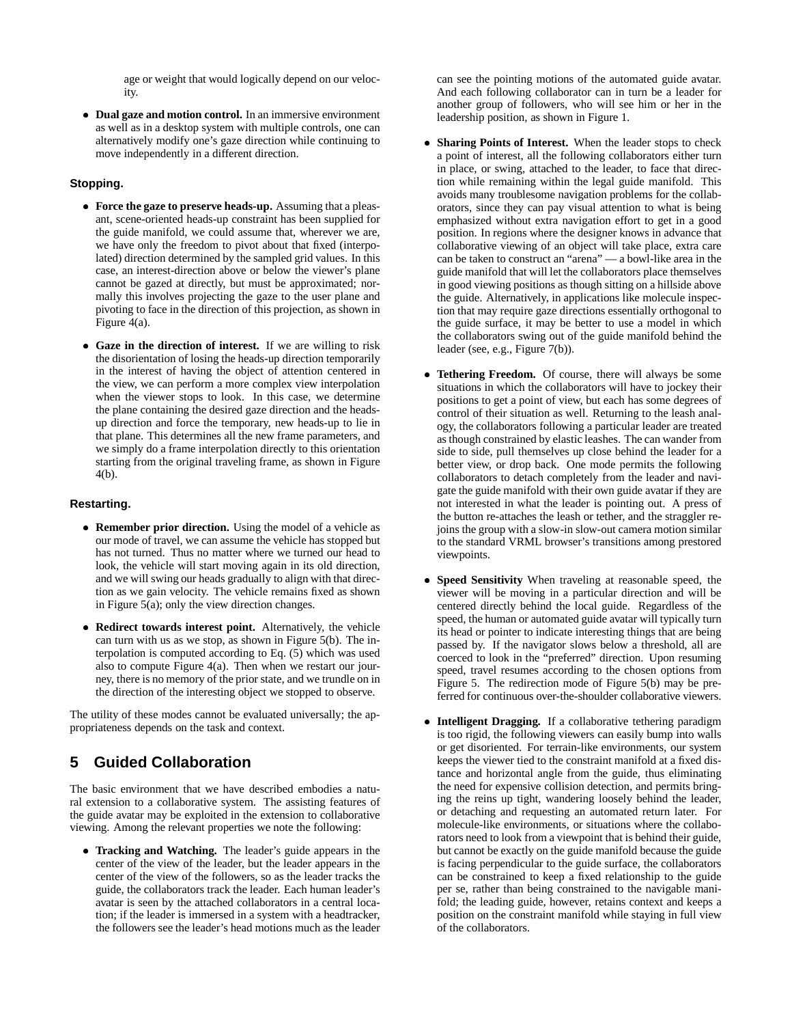age or weight that would logically depend on our velocity.

 **Dual gaze and motion control.** In an immersive environment as well as in a desktop system with multiple controls, one can alternatively modify one's gaze direction while continuing to move independently in a different direction.

#### **Stopping.**

- **Force the gaze to preserve heads-up.** Assuming that a pleasant, scene-oriented heads-up constraint has been supplied for the guide manifold, we could assume that, wherever we are, we have only the freedom to pivot about that fixed (interpolated) direction determined by the sampled grid values. In this case, an interest-direction above or below the viewer's plane cannot be gazed at directly, but must be approximated; normally this involves projecting the gaze to the user plane and pivoting to face in the direction of this projection, as shown in Figure 4(a).
- **Gaze in the direction of interest.** If we are willing to risk the disorientation of losing the heads-up direction temporarily in the interest of having the object of attention centered in the view, we can perform a more complex view interpolation when the viewer stops to look. In this case, we determine the plane containing the desired gaze direction and the headsup direction and force the temporary, new heads-up to lie in that plane. This determines all the new frame parameters, and we simply do a frame interpolation directly to this orientation starting from the original traveling frame, as shown in Figure 4(b).

#### **Restarting.**

- **Remember prior direction.** Using the model of a vehicle as our mode of travel, we can assume the vehicle has stopped but has not turned. Thus no matter where we turned our head to look, the vehicle will start moving again in its old direction, and we will swing our heads gradually to align with that direction as we gain velocity. The vehicle remains fixed as shown in Figure 5(a); only the view direction changes.
- **Redirect towards interest point.** Alternatively, the vehicle can turn with us as we stop, as shown in Figure 5(b). The interpolation is computed according to Eq. (5) which was used also to compute Figure 4(a). Then when we restart our journey, there is no memory of the prior state, and we trundle on in the direction of the interesting object we stopped to observe.

The utility of these modes cannot be evaluated universally; the appropriateness depends on the task and context.

### **5 Guided Collaboration**

The basic environment that we have described embodies a natural extension to a collaborative system. The assisting features of the guide avatar may be exploited in the extension to collaborative viewing. Among the relevant properties we note the following:

 **Tracking and Watching.** The leader's guide appears in the center of the view of the leader, but the leader appears in the center of the view of the followers, so as the leader tracks the guide, the collaborators track the leader. Each human leader's avatar is seen by the attached collaborators in a central location; if the leader is immersed in a system with a headtracker, the followers see the leader's head motions much as the leader can see the pointing motions of the automated guide avatar. And each following collaborator can in turn be a leader for another group of followers, who will see him or her in the leadership position, as shown in Figure 1.

- **Sharing Points of Interest.** When the leader stops to check a point of interest, all the following collaborators either turn in place, or swing, attached to the leader, to face that direction while remaining within the legal guide manifold. This avoids many troublesome navigation problems for the collaborators, since they can pay visual attention to what is being emphasized without extra navigation effort to get in a good position. In regions where the designer knows in advance that collaborative viewing of an object will take place, extra care can be taken to construct an "arena" — a bowl-like area in the guide manifold that will let the collaborators place themselves in good viewing positions as though sitting on a hillside above the guide. Alternatively, in applications like molecule inspection that may require gaze directions essentially orthogonal to the guide surface, it may be better to use a model in which the collaborators swing out of the guide manifold behind the leader (see, e.g., Figure 7(b)).
- **Tethering Freedom.** Of course, there will always be some situations in which the collaborators will have to jockey their positions to get a point of view, but each has some degrees of control of their situation as well. Returning to the leash analogy, the collaborators following a particular leader are treated as though constrained by elastic leashes. The can wander from side to side, pull themselves up close behind the leader for a better view, or drop back. One mode permits the following collaborators to detach completely from the leader and navigate the guide manifold with their own guide avatar if they are not interested in what the leader is pointing out. A press of the button re-attaches the leash or tether, and the straggler rejoins the group with a slow-in slow-out camera motion similar to the standard VRML browser's transitions among prestored viewpoints.
- **Speed Sensitivity** When traveling at reasonable speed, the viewer will be moving in a particular direction and will be centered directly behind the local guide. Regardless of the speed, the human or automated guide avatar will typically turn its head or pointer to indicate interesting things that are being passed by. If the navigator slows below a threshold, all are coerced to look in the "preferred" direction. Upon resuming speed, travel resumes according to the chosen options from Figure 5. The redirection mode of Figure 5(b) may be preferred for continuous over-the-shoulder collaborative viewers.
- **Intelligent Dragging.** If a collaborative tethering paradigm is too rigid, the following viewers can easily bump into walls or get disoriented. For terrain-like environments, our system keeps the viewer tied to the constraint manifold at a fixed distance and horizontal angle from the guide, thus eliminating the need for expensive collision detection, and permits bringing the reins up tight, wandering loosely behind the leader, or detaching and requesting an automated return later. For molecule-like environments, or situations where the collaborators need to look from a viewpoint that is behind their guide, but cannot be exactly on the guide manifold because the guide is facing perpendicular to the guide surface, the collaborators can be constrained to keep a fixed relationship to the guide per se, rather than being constrained to the navigable manifold; the leading guide, however, retains context and keeps a position on the constraint manifold while staying in full view of the collaborators.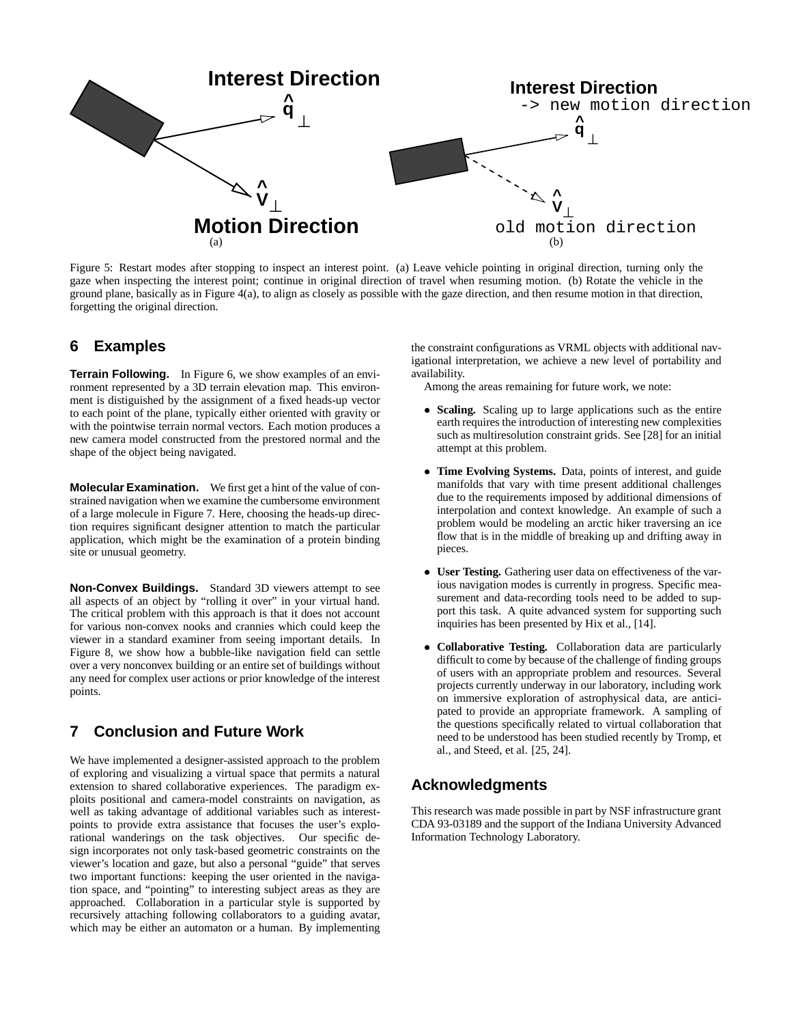

Figure 5: Restart modes after stopping to inspect an interest point. (a) Leave vehicle pointing in original direction, turning only the gaze when inspecting the interest point; continue in original direction of travel when resuming motion. (b) Rotate the vehicle in the ground plane, basically as in Figure 4(a), to align as closely as possible with the gaze direction, and then resume motion in that direction, forgetting the original direction.

## **6 Examples**

**Terrain Following.** In Figure 6, we show examples of an environment represented by a 3D terrain elevation map. This environment is distiguished by the assignment of a fixed heads-up vector to each point of the plane, typically either oriented with gravity or with the pointwise terrain normal vectors. Each motion produces a new camera model constructed from the prestored normal and the shape of the object being navigated.

**Molecular Examination.** We first get a hint of the value of constrained navigation when we examine the cumbersome environment of a large molecule in Figure 7. Here, choosing the heads-up direction requires significant designer attention to match the particular application, which might be the examination of a protein binding site or unusual geometry.

**Non-Convex Buildings.** Standard 3D viewers attempt to see all aspects of an object by "rolling it over" in your virtual hand. The critical problem with this approach is that it does not account for various non-convex nooks and crannies which could keep the viewer in a standard examiner from seeing important details. In Figure 8, we show how a bubble-like navigation field can settle over a very nonconvex building or an entire set of buildings without any need for complex user actions or prior knowledge of the interest points.

## **7 Conclusion and Future Work**

We have implemented a designer-assisted approach to the problem of exploring and visualizing a virtual space that permits a natural extension to shared collaborative experiences. The paradigm exploits positional and camera-model constraints on navigation, as well as taking advantage of additional variables such as interestpoints to provide extra assistance that focuses the user's explorational wanderings on the task objectives. Our specific design incorporates not only task-based geometric constraints on the viewer's location and gaze, but also a personal "guide" that serves two important functions: keeping the user oriented in the navigation space, and "pointing" to interesting subject areas as they are approached. Collaboration in a particular style is supported by recursively attaching following collaborators to a guiding avatar, which may be either an automaton or a human. By implementing

the constraint configurations as VRML objects with additional navigational interpretation, we achieve a new level of portability and availability.

Among the areas remaining for future work, we note:

- Scaling. Scaling up to large applications such as the entire earth requires the introduction of interesting new complexities such as multiresolution constraint grids. See [28] for an initial attempt at this problem.
- **Time Evolving Systems.** Data, points of interest, and guide manifolds that vary with time present additional challenges due to the requirements imposed by additional dimensions of interpolation and context knowledge. An example of such a problem would be modeling an arctic hiker traversing an ice flow that is in the middle of breaking up and drifting away in pieces.
- **User Testing.** Gathering user data on effectiveness of the various navigation modes is currently in progress. Specific measurement and data-recording tools need to be added to support this task. A quite advanced system for supporting such inquiries has been presented by Hix et al., [14].
- **Collaborative Testing.** Collaboration data are particularly difficult to come by because of the challenge of finding groups of users with an appropriate problem and resources. Several projects currently underway in our laboratory, including work on immersive exploration of astrophysical data, are anticipated to provide an appropriate framework. A sampling of the questions specifically related to virtual collaboration that need to be understood has been studied recently by Tromp, et al., and Steed, et al. [25, 24].

## **Acknowledgments**

This research was made possible in part by NSF infrastructure grant CDA 93-03189 and the support of the Indiana University Advanced Information Technology Laboratory.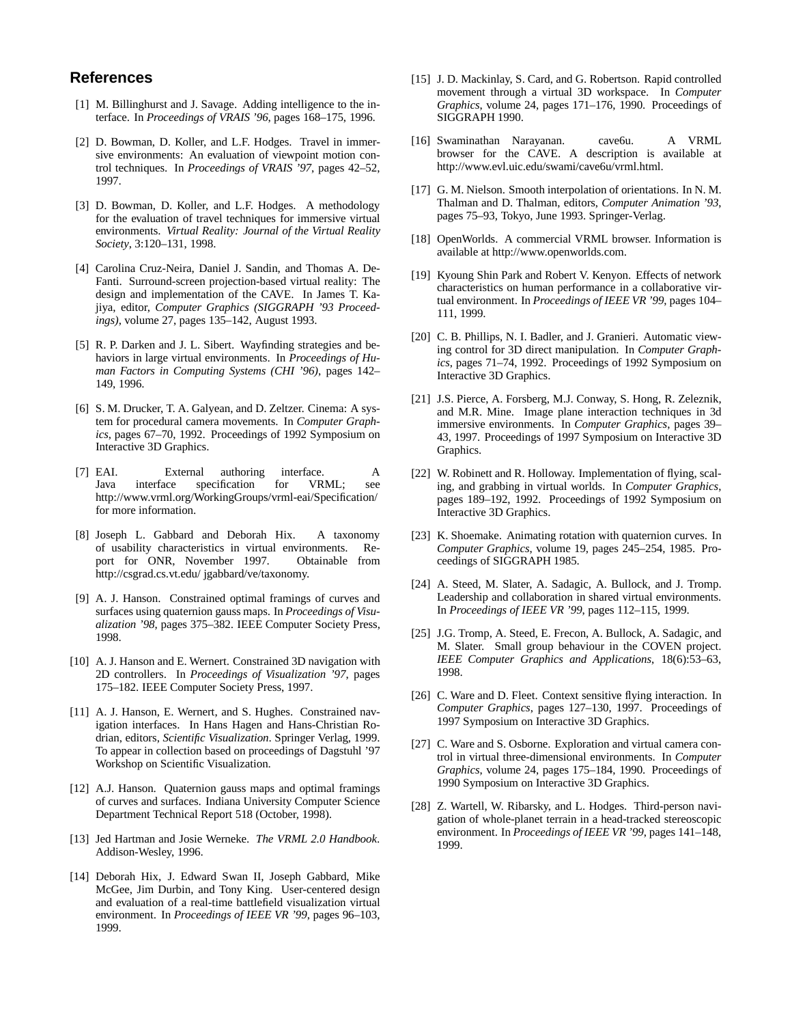### **References**

- [1] M. Billinghurst and J. Savage. Adding intelligence to the interface. In *Proceedings of VRAIS '96*, pages 168–175, 1996.
- [2] D. Bowman, D. Koller, and L.F. Hodges. Travel in immersive environments: An evaluation of viewpoint motion control techniques. In *Proceedings of VRAIS '97*, pages 42–52, 1997.
- [3] D. Bowman, D. Koller, and L.F. Hodges. A methodology for the evaluation of travel techniques for immersive virtual environments. *Virtual Reality: Journal of the Virtual Reality Society*, 3:120–131, 1998.
- [4] Carolina Cruz-Neira, Daniel J. Sandin, and Thomas A. De-Fanti. Surround-screen projection-based virtual reality: The design and implementation of the CAVE. In James T. Kajiya, editor, *Computer Graphics (SIGGRAPH '93 Proceedings)*, volume 27, pages 135–142, August 1993.
- [5] R. P. Darken and J. L. Sibert. Wayfinding strategies and behaviors in large virtual environments. In *Proceedings of Human Factors in Computing Systems (CHI '96)*, pages 142– 149, 1996.
- [6] S. M. Drucker, T. A. Galyean, and D. Zeltzer. Cinema: A system for procedural camera movements. In *Computer Graphics*, pages 67–70, 1992. Proceedings of 1992 Symposium on Interactive 3D Graphics.
- [7] EAI. External authoring interface. A Java interface specification for VRML; see http://www.vrml.org/WorkingGroups/vrml-eai/Specification/ for more information.
- [8] Joseph L. Gabbard and Deborah Hix. A taxonomy of usability characteristics in virtual environments. Report for ONR, November 1997. Obtainable from port for ONR, November 1997. http://csgrad.cs.vt.edu/ jgabbard/ve/taxonomy.
- [9] A. J. Hanson. Constrained optimal framings of curves and surfaces using quaternion gauss maps. In *Proceedings of Visualization '98*, pages 375–382. IEEE Computer Society Press, 1998.
- [10] A. J. Hanson and E. Wernert. Constrained 3D navigation with 2D controllers. In *Proceedings of Visualization '97*, pages 175–182. IEEE Computer Society Press, 1997.
- [11] A. J. Hanson, E. Wernert, and S. Hughes. Constrained navigation interfaces. In Hans Hagen and Hans-Christian Rodrian, editors, *Scientific Visualization*. Springer Verlag, 1999. To appear in collection based on proceedings of Dagstuhl '97 Workshop on Scientific Visualization.
- [12] A.J. Hanson. Quaternion gauss maps and optimal framings of curves and surfaces. Indiana University Computer Science Department Technical Report 518 (October, 1998).
- [13] Jed Hartman and Josie Werneke. *The VRML 2.0 Handbook*. Addison-Wesley, 1996.
- [14] Deborah Hix, J. Edward Swan II, Joseph Gabbard, Mike McGee, Jim Durbin, and Tony King. User-centered design and evaluation of a real-time battlefield visualization virtual environment. In *Proceedings of IEEE VR '99*, pages 96–103, 1999.
- [15] J. D. Mackinlay, S. Card, and G. Robertson. Rapid controlled movement through a virtual 3D workspace. In *Computer Graphics*, volume 24, pages 171–176, 1990. Proceedings of SIGGRAPH 1990.
- [16] Swaminathan Narayanan. cave6u. A VRML browser for the CAVE. A description is available at http://www.evl.uic.edu/swami/cave6u/vrml.html.
- [17] G. M. Nielson. Smooth interpolation of orientations. In N. M. Thalman and D. Thalman, editors, *Computer Animation '93*, pages 75–93, Tokyo, June 1993. Springer-Verlag.
- [18] OpenWorlds. A commercial VRML browser. Information is available at http://www.openworlds.com.
- [19] Kyoung Shin Park and Robert V. Kenyon. Effects of network characteristics on human performance in a collaborative virtual environment. In *Proceedings of IEEE VR '99*, pages 104– 111, 1999.
- [20] C. B. Phillips, N. I. Badler, and J. Granieri. Automatic viewing control for 3D direct manipulation. In *Computer Graphics*, pages 71–74, 1992. Proceedings of 1992 Symposium on Interactive 3D Graphics.
- [21] J.S. Pierce, A. Forsberg, M.J. Conway, S. Hong, R. Zeleznik, and M.R. Mine. Image plane interaction techniques in 3d immersive environments. In *Computer Graphics*, pages 39– 43, 1997. Proceedings of 1997 Symposium on Interactive 3D Graphics.
- [22] W. Robinett and R. Holloway. Implementation of flying, scaling, and grabbing in virtual worlds. In *Computer Graphics*, pages 189–192, 1992. Proceedings of 1992 Symposium on Interactive 3D Graphics.
- [23] K. Shoemake. Animating rotation with quaternion curves. In *Computer Graphics*, volume 19, pages 245–254, 1985. Proceedings of SIGGRAPH 1985.
- [24] A. Steed, M. Slater, A. Sadagic, A. Bullock, and J. Tromp. Leadership and collaboration in shared virtual environments. In *Proceedings of IEEE VR '99*, pages 112–115, 1999.
- [25] J.G. Tromp, A. Steed, E. Frecon, A. Bullock, A. Sadagic, and M. Slater. Small group behaviour in the COVEN project. *IEEE Computer Graphics and Applications*, 18(6):53–63, 1998.
- [26] C. Ware and D. Fleet. Context sensitive flying interaction. In *Computer Graphics*, pages 127–130, 1997. Proceedings of 1997 Symposium on Interactive 3D Graphics.
- [27] C. Ware and S. Osborne. Exploration and virtual camera control in virtual three-dimensional environments. In *Computer Graphics*, volume 24, pages 175–184, 1990. Proceedings of 1990 Symposium on Interactive 3D Graphics.
- [28] Z. Wartell, W. Ribarsky, and L. Hodges. Third-person navigation of whole-planet terrain in a head-tracked stereoscopic environment. In *Proceedings of IEEE VR '99*, pages 141–148, 1999.